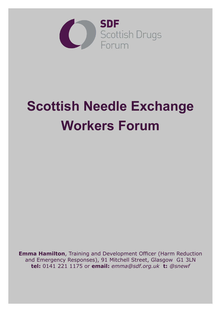

# **Scottish Needle Exchange Workers Forum**

**Emma Hamilton**, Training and Development Officer (Harm Reduction and Emergency Responses), 91 Mitchell Street, Glasgow G1 3LN **tel:** 0141 221 1175 or **email:** *emma@sdf.org.uk* **t:** *@snewf*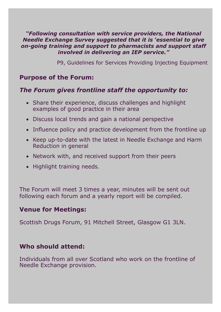#### *"Following consultation with service providers, the National Needle Exchange Survey suggested that it is 'essential to give on-going training and support to pharmacists and support staff involved in delivering an IEP service."*

P9, Guidelines for Services Providing Injecting Equipment

# **Purpose of the Forum:**

# *The Forum gives frontline staff the opportunity to:*

- Share their experience, discuss challenges and highlight examples of good practice in their area
- Discuss local trends and gain a national perspective
- Influence policy and practice development from the frontline up
- Keep up-to-date with the latest in Needle Exchange and Harm Reduction in general
- Network with, and received support from their peers
- Highlight training needs.

The Forum will meet 3 times a year, minutes will be sent out following each forum and a yearly report will be compiled.

# **Venue for Meetings:**

Scottish Drugs Forum, 91 Mitchell Street, Glasgow G1 3LN.

# **Who should attend:**

Individuals from all over Scotland who work on the frontline of Needle Exchange provision.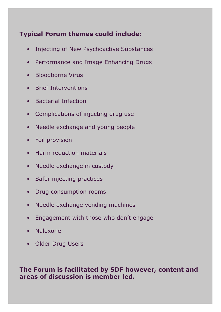# **Typical Forum themes could include:**

- Injecting of New Psychoactive Substances
- Performance and Image Enhancing Drugs
- Bloodborne Virus
- Brief Interventions
- Bacterial Infection
- Complications of injecting drug use
- Needle exchange and young people
- Foil provision
- Harm reduction materials
- Needle exchange in custody
- Safer injecting practices
- Drug consumption rooms
- Needle exchange vending machines
- Engagement with those who don't engage
- Naloxone
- Older Drug Users

#### **The Forum is facilitated by SDF however, content and areas of discussion is member led.**